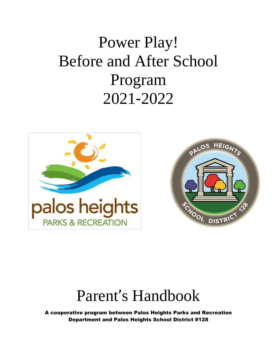# Power Play! Before and After School Program 2021-2022





## Parent's Handbook

A cooperative program between Palos Heights Parks and Recreation Department and Palos Heights School District #128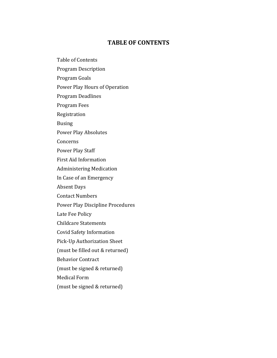#### **TABLE OF CONTENTS**

Table of Contents

Program Description

Program Goals

Power Play Hours of Operation

Program Deadlines

Program Fees

Registration

Busing

Power Play Absolutes

Concerns

Power Play Staff

First Aid Information

Administering Medication

In Case of an Emergency

Absent Days

Contact Numbers

Power Play Discipline Procedures

Late Fee Policy

Childcare Statements

Covid Safety Information

Pick-Up Authorization Sheet

(must be filled out & returned)

Behavior Contract

(must be signed & returned)

Medical Form

(must be signed & returned)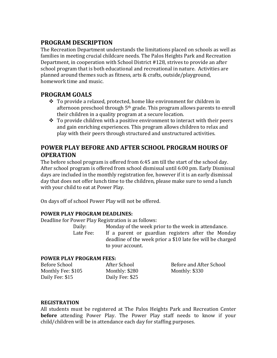## **PROGRAM DESCRIPTION**

The Recreation Department understands the limitations placed on schools as well as families in meeting crucial childcare needs. The Palos Heights Park and Recreation Department, in cooperation with School District #128, strives to provide an after school program that is both educational and recreational in nature. Activities are planned around themes such as fitness, arts & crafts, outside/playground, homework time and music.

## **PROGRAM GOALS**

- $\div$  To provide a relaxed, protected, home like environment for children in afternoon preschool through 5th grade. This program allows parents to enroll their children in a quality program at a secure location.
- $\hat{P}$  To provide children with a positive environment to interact with their peers and gain enriching experiences. This program allows children to relax and play with their peers through structured and unstructured activities.

## **POWER PLAY BEFORE AND AFTER SCHOOL PROGRAM HOURS OF OPERATION**

The before school program is offered from 6:45 am till the start of the school day. After school program is offered from school dismissal until 6:00 pm. Early Dismissal days are included in the monthly registration fee, however if it is an early dismissal day that does not offer lunch time to the children, please make sure to send a lunch with your child to eat at Power Play.

On days off of school Power Play will not be offered.

#### **POWER PLAY PROGRAM DEADLINES:**

Deadline for Power Play Registration is as follows:

Daily: Monday of the week prior to the week in attendance. Late Fee: If a parent or guardian registers after the Monday deadline of the week prior a \$10 late fee will be charged to your account.

#### **POWER PLAY PROGRAM FEES:**

| Before School      | After School    | Before and After School |
|--------------------|-----------------|-------------------------|
| Monthly Fee: \$105 | Monthly: \$280  | Monthly: \$330          |
| Daily Fee: \$15    | Daily Fee: \$25 |                         |

#### **REGISTRATION**

All students must be registered at The Palos Heights Park and Recreation Center **before** attending Power Play. The Power Play staff needs to know if your child/children will be in attendance each day for staffing purposes.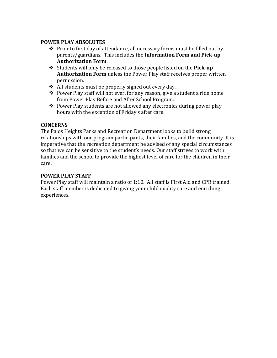#### **POWER PLAY ABSOLUTES**

- $\triangle$  Prior to first day of attendance, all necessary forms must be filled out by parents/guardians. This includes the **Information Form and Pick-up Authorization Form**.
- Students will only be released to those people listed on the **Pick-up Authorization Form** unless the Power Play staff receives proper written permission.
- All students must be properly signed out every day.
- $\triangle$  Power Play staff will not ever, for any reason, give a student a ride home from Power Play Before and After School Program.
- $\triangle$  Power Play students are not allowed any electronics during power play hours with the exception of Friday's after care.

#### **CONCERNS**

The Palos Heights Parks and Recreation Department looks to build strong relationships with our program participants, their families, and the community. It is imperative that the recreation department be advised of any special circumstances so that we can be sensitive to the student's needs. Our staff strives to work with families and the school to provide the highest level of care for the children in their care.

#### **POWER PLAY STAFF**

Power Play staff will maintain a ratio of 1:10. All staff is First Aid and CPR trained. Each staff member is dedicated to giving your child quality care and enriching experiences.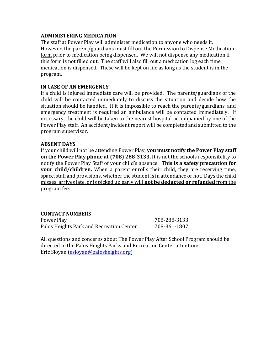#### **ADMINISTERING MEDICATION**

The staff at Power Play will administer medication to anyone who needs it. However, the parent/guardians must fill out the Permission to Dispense Medication form prior to medication being dispensed. We will not dispense any medication if this form is not filled out. The staff will also fill out a medication log each time medication is dispensed. These will be kept on file as long as the student is in the program.

#### **IN CASE OF AN EMERGENCY**

If a child is injured immediate care will be provided. The parents/guardians of the child will be contacted immediately to discuss the situation and decide how the situation should be handled. If it is impossible to reach the parents/guardians, and emergency treatment is required an ambulance will be contacted immediately. If necessary, the child will be taken to the nearest hospital accompanied by one of the Power Play staff. An accident/incident report will be completed and submitted to the program supervisor.

#### **ABSENT DAYS**

If your child will not be attending Power Play, **you must notify the Power Play staff on the Power Play phone at (708) 288-3133.** It is not the schools responsibility to notify the Power Play Staff of your child's absence. **This is a safety precaution for your child/children.** When a parent enrolls their child, they are reserving time, space, staff and provisions, whether the student is in attendance or not. Days the child misses, arrives late, or is picked up early will **not be deducted or refunded** from the program fee.

#### **CONTACT NUMBERS**

Power Play 208-288-3133 Palos Heights Park and Recreation Center 708-361-1807

All questions and concerns about The Power Play After School Program should be directed to the Palos Heights Parks and Recreation Center attention: Eric Sloyan [\(esloyan@palosheights.org\)](mailto:esloyan@palosheights.org)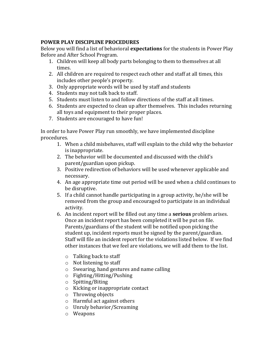#### **POWER PLAY DISCIPLINE PROCEDURES**

Below you will find a list of behavioral **expectations** for the students in Power Play Before and After School Program.

- 1. Children will keep all body parts belonging to them to themselves at all times.
- 2. All children are required to respect each other and staff at all times, this includes other people's property.
- 3. Only appropriate words will be used by staff and students
- 4. Students may not talk back to staff.
- 5. Students must listen to and follow directions of the staff at all times.
- 6. Students are expected to clean up after themselves. This includes returning all toys and equipment to their proper places.
- 7. Students are encouraged to have fun!

In order to have Power Play run smoothly, we have implemented discipline procedures.

- 1. When a child misbehaves, staff will explain to the child why the behavior is inappropriate.
- 2. The behavior will be documented and discussed with the child's parent/guardian upon pickup.
- 3. Positive redirection of behaviors will be used whenever applicable and necessary.
- 4. An age appropriate time out period will be used when a child continues to be disruptive.
- 5. If a child cannot handle participating in a group activity, he/she will be removed from the group and encouraged to participate in an individual activity.
- 6. An incident report will be filled out any time a **serious** problem arises. Once an incident report has been completed it will be put on file. Parents/guardians of the student will be notified upon picking the student up, incident reports must be signed by the parent/guardian. Staff will file an incident report for the violations listed below. If we find other instances that we feel are violations, we will add them to the list.
	- o Talking back to staff
	- o Not listening to staff
	- o Swearing, hand gestures and name calling
	- o Fighting/Hitting/Pushing
	- o Spitting/Biting
	- o Kicking or inappropriate contact
	- o Throwing objects
	- o Harmful act against others
	- o Unruly behavior/Screaming
	- o Weapons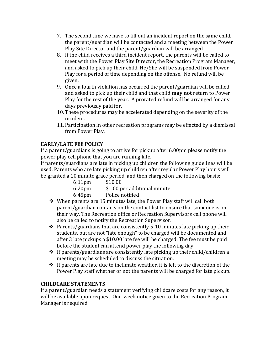- 7. The second time we have to fill out an incident report on the same child, the parent/guardian will be contacted and a meeting between the Power Play Site Director and the parent/guardian will be arranged.
- 8. If the child receives a third incident report, the parents will be called to meet with the Power Play Site Director, the Recreation Program Manager, and asked to pick up their child. He/She will be suspended from Power Play for a period of time depending on the offense. No refund will be given.
- 9. Once a fourth violation has occurred the parent/guardian will be called and asked to pick up their child and that child **may not** return to Power Play for the rest of the year. A prorated refund will be arranged for any days previously paid for.
- 10. These procedures may be accelerated depending on the severity of the incident.
- 11. Participation in other recreation programs may be effected by a dismissal from Power Play.

### **EARLY/LATE FEE POLICY**

If a parent/guardians is going to arrive for pickup after 6:00pm please notify the power play cell phone that you are running late.

If parents/guardians are late in picking up children the following guidelines will be used. Parents who are late picking up children after regular Power Play hours will be granted a 10 minute grace period, and then charged on the following basis:

| $6:11$ pm          | \$10.00         |  |                              |
|--------------------|-----------------|--|------------------------------|
| 6:20 <sub>pm</sub> |                 |  | \$1.00 per additional minute |
| 6:45pm             | Police notified |  |                              |

- $\div$  When parents are 15 minutes late, the Power Play staff will call both parent/guardian contacts on the contact list to ensure that someone is on their way. The Recreation office or Recreation Supervisors cell phone will also be called to notify the Recreation Supervisor.
- $\hat{\mathbf{v}}$  Parents/guardians that are consistently 5-10 minutes late picking up their students, but are not "late enough" to be charged will be documented and after 3 late pickups a \$10.00 late fee will be charged. The fee must be paid before the student can attend power play the following day.
- $\div$  If parents/guardians are consistently late picking up their child/children a meeting may be scheduled to discuss the situation.
- $\div$  If parents are late due to inclimate weather, it is left to the discretion of the Power Play staff whether or not the parents will be charged for late pickup.

#### **CHILDCARE STATEMENTS**

If a parent/guardian needs a statement verifying childcare costs for any reason, it will be available upon request. One-week notice given to the Recreation Program Manager is required.